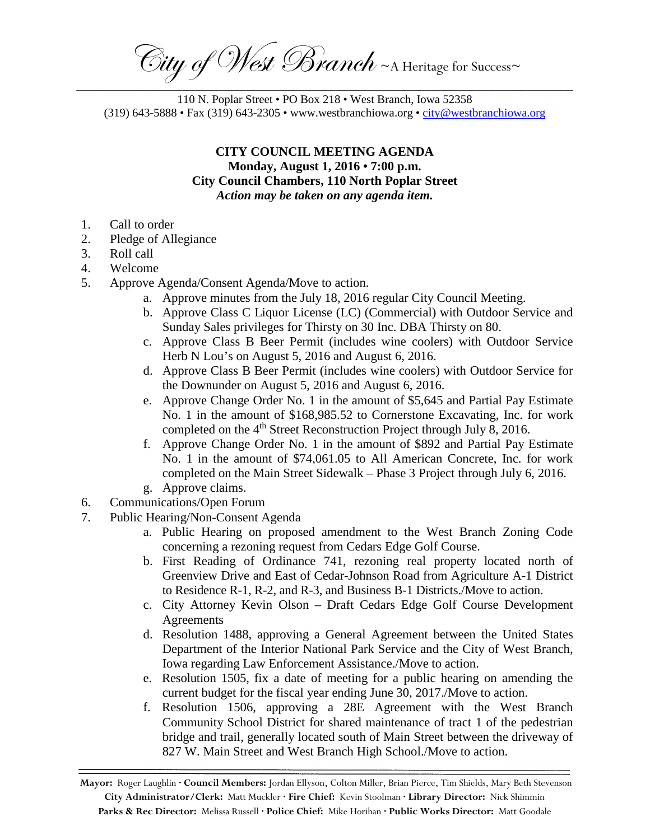City of West Branch ~ A Heritage for Success~ \_\_\_\_\_\_\_\_\_\_\_\_\_\_\_\_\_\_\_\_\_\_\_\_\_\_\_\_\_\_\_\_\_\_\_\_\_\_\_\_\_\_\_\_\_\_\_\_\_\_\_\_\_\_\_\_\_\_\_\_\_\_\_\_\_\_\_\_\_\_\_\_\_\_\_\_\_\_\_\_\_\_\_\_\_\_\_\_\_\_\_\_\_\_\_\_\_\_\_\_\_\_\_\_\_\_\_\_\_\_\_\_\_\_\_\_\_

110 N. Poplar Street • PO Box 218 • West Branch, Iowa 52358 (319) 643-5888 • Fax (319) 643-2305 • www.westbranchiowa.org • [city@westbranchiowa.org](mailto:city@westbranchiowa.org)

## **CITY COUNCIL MEETING AGENDA Monday, August 1, 2016 • 7:00 p.m. City Council Chambers, 110 North Poplar Street** *Action may be taken on any agenda item.*

- 1. Call to order
- 2. Pledge of Allegiance
- 3. Roll call
- 4. Welcome
- 5. Approve Agenda/Consent Agenda/Move to action.
	- a. Approve minutes from the July 18, 2016 regular City Council Meeting.
	- b. Approve Class C Liquor License (LC) (Commercial) with Outdoor Service and Sunday Sales privileges for Thirsty on 30 Inc. DBA Thirsty on 80.
	- c. Approve Class B Beer Permit (includes wine coolers) with Outdoor Service Herb N Lou's on August 5, 2016 and August 6, 2016.
	- d. Approve Class B Beer Permit (includes wine coolers) with Outdoor Service for the Downunder on August 5, 2016 and August 6, 2016.
	- e. Approve Change Order No. 1 in the amount of \$5,645 and Partial Pay Estimate No. 1 in the amount of \$168,985.52 to Cornerstone Excavating, Inc. for work completed on the 4<sup>th</sup> Street Reconstruction Project through July 8, 2016.
	- f. Approve Change Order No. 1 in the amount of \$892 and Partial Pay Estimate No. 1 in the amount of \$74,061.05 to All American Concrete, Inc. for work completed on the Main Street Sidewalk – Phase 3 Project through July 6, 2016.
	- g. Approve claims.
- 6. Communications/Open Forum
- 7. Public Hearing/Non-Consent Agenda
	- a. Public Hearing on proposed amendment to the West Branch Zoning Code concerning a rezoning request from Cedars Edge Golf Course.
	- b. First Reading of Ordinance 741, rezoning real property located north of Greenview Drive and East of Cedar-Johnson Road from Agriculture A-1 District to Residence R-1, R-2, and R-3, and Business B-1 Districts./Move to action.
	- c. City Attorney Kevin Olson Draft Cedars Edge Golf Course Development **Agreements**
	- d. Resolution 1488, approving a General Agreement between the United States Department of the Interior National Park Service and the City of West Branch, Iowa regarding Law Enforcement Assistance./Move to action.
	- e. Resolution 1505, fix a date of meeting for a public hearing on amending the current budget for the fiscal year ending June 30, 2017./Move to action.
	- f. Resolution 1506, approving a 28E Agreement with the West Branch Community School District for shared maintenance of tract 1 of the pedestrian bridge and trail, generally located south of Main Street between the driveway of 827 W. Main Street and West Branch High School./Move to action.

**Mayor:** Roger Laughlin **· Council Members:** Jordan Ellyson, Colton Miller, Brian Pierce, Tim Shields, Mary Beth Stevenson **City Administrator/Clerk:** Matt Muckler **· Fire Chief:** Kevin Stoolman **· Library Director:** Nick Shimmin **Parks & Rec Director:** Melissa Russell **· Police Chief:** Mike Horihan **· Public Works Director:** Matt Goodale